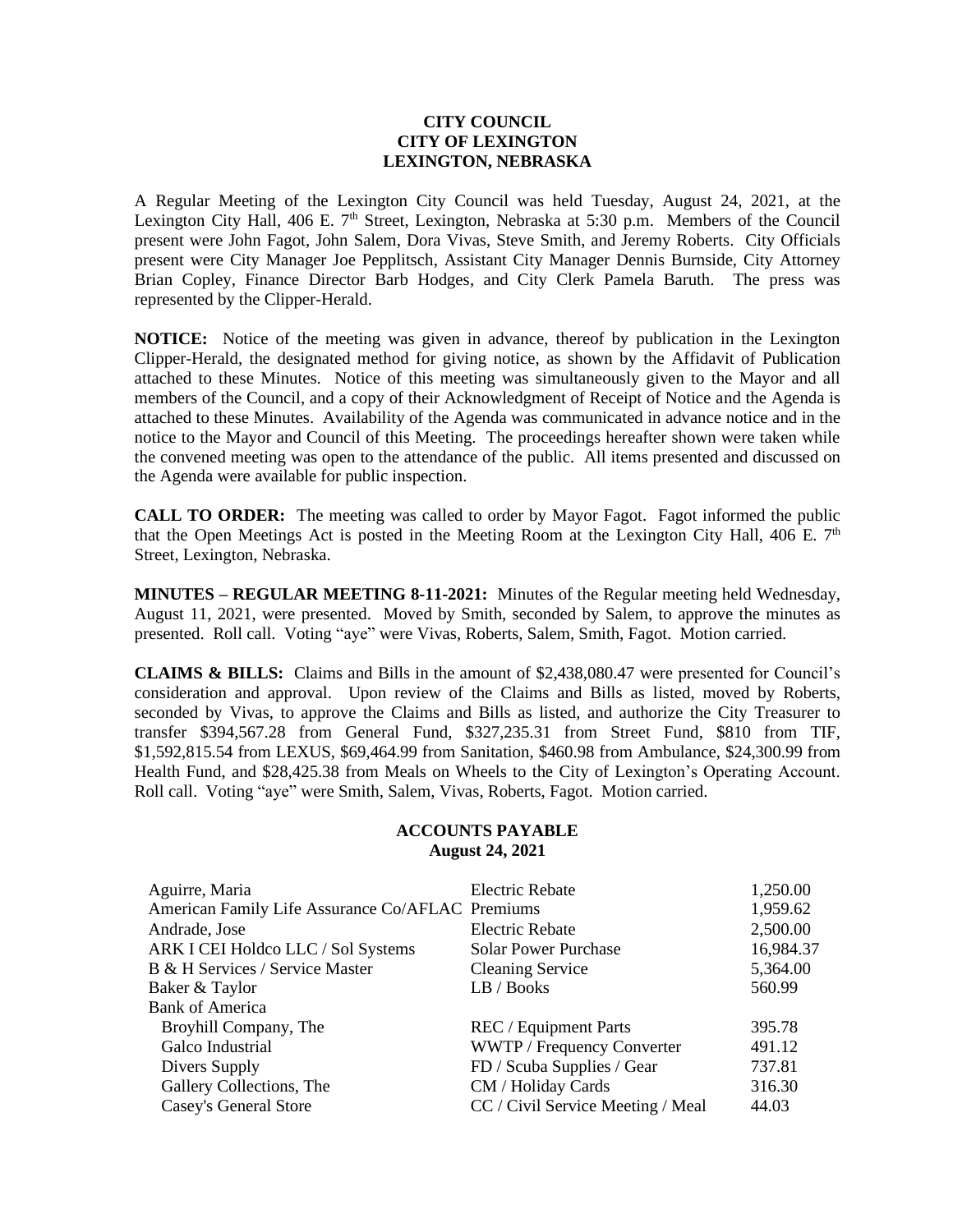## **CITY COUNCIL CITY OF LEXINGTON LEXINGTON, NEBRASKA**

A Regular Meeting of the Lexington City Council was held Tuesday, August 24, 2021, at the Lexington City Hall, 406 E.  $7<sup>th</sup>$  Street, Lexington, Nebraska at 5:30 p.m. Members of the Council present were John Fagot, John Salem, Dora Vivas, Steve Smith, and Jeremy Roberts. City Officials present were City Manager Joe Pepplitsch, Assistant City Manager Dennis Burnside, City Attorney Brian Copley, Finance Director Barb Hodges, and City Clerk Pamela Baruth. The press was represented by the Clipper-Herald.

**NOTICE:** Notice of the meeting was given in advance, thereof by publication in the Lexington Clipper-Herald, the designated method for giving notice, as shown by the Affidavit of Publication attached to these Minutes. Notice of this meeting was simultaneously given to the Mayor and all members of the Council, and a copy of their Acknowledgment of Receipt of Notice and the Agenda is attached to these Minutes. Availability of the Agenda was communicated in advance notice and in the notice to the Mayor and Council of this Meeting. The proceedings hereafter shown were taken while the convened meeting was open to the attendance of the public. All items presented and discussed on the Agenda were available for public inspection.

**CALL TO ORDER:** The meeting was called to order by Mayor Fagot. Fagot informed the public that the Open Meetings Act is posted in the Meeting Room at the Lexington City Hall, 406 E.  $7<sup>th</sup>$ Street, Lexington, Nebraska.

**MINUTES – REGULAR MEETING 8-11-2021:** Minutes of the Regular meeting held Wednesday, August 11, 2021, were presented. Moved by Smith, seconded by Salem, to approve the minutes as presented. Roll call. Voting "aye" were Vivas, Roberts, Salem, Smith, Fagot. Motion carried.

**CLAIMS & BILLS:** Claims and Bills in the amount of \$2,438,080.47 were presented for Council's consideration and approval. Upon review of the Claims and Bills as listed, moved by Roberts, seconded by Vivas, to approve the Claims and Bills as listed, and authorize the City Treasurer to transfer \$394,567.28 from General Fund, \$327,235.31 from Street Fund, \$810 from TIF, \$1,592,815.54 from LEXUS, \$69,464.99 from Sanitation, \$460.98 from Ambulance, \$24,300.99 from Health Fund, and \$28,425.38 from Meals on Wheels to the City of Lexington's Operating Account. Roll call. Voting "aye" were Smith, Salem, Vivas, Roberts, Fagot. Motion carried.

## **ACCOUNTS PAYABLE August 24, 2021**

| Aguirre, Maria                                   | Electric Rebate                   | 1,250.00  |
|--------------------------------------------------|-----------------------------------|-----------|
| American Family Life Assurance Co/AFLAC Premiums |                                   | 1,959.62  |
| Andrade, Jose                                    | Electric Rebate                   | 2,500.00  |
| ARK I CEI Holdco LLC / Sol Systems               | <b>Solar Power Purchase</b>       | 16,984.37 |
| B & H Services / Service Master                  | <b>Cleaning Service</b>           | 5,364.00  |
| Baker & Taylor                                   | LB / Books                        | 560.99    |
| <b>Bank of America</b>                           |                                   |           |
| Broyhill Company, The                            | REC / Equipment Parts             | 395.78    |
| Galco Industrial                                 | WWTP / Frequency Converter        | 491.12    |
| Divers Supply                                    | FD / Scuba Supplies / Gear        | 737.81    |
| Gallery Collections, The                         | CM / Holiday Cards                | 316.30    |
| Casey's General Store                            | CC / Civil Service Meeting / Meal | 44.03     |
|                                                  |                                   |           |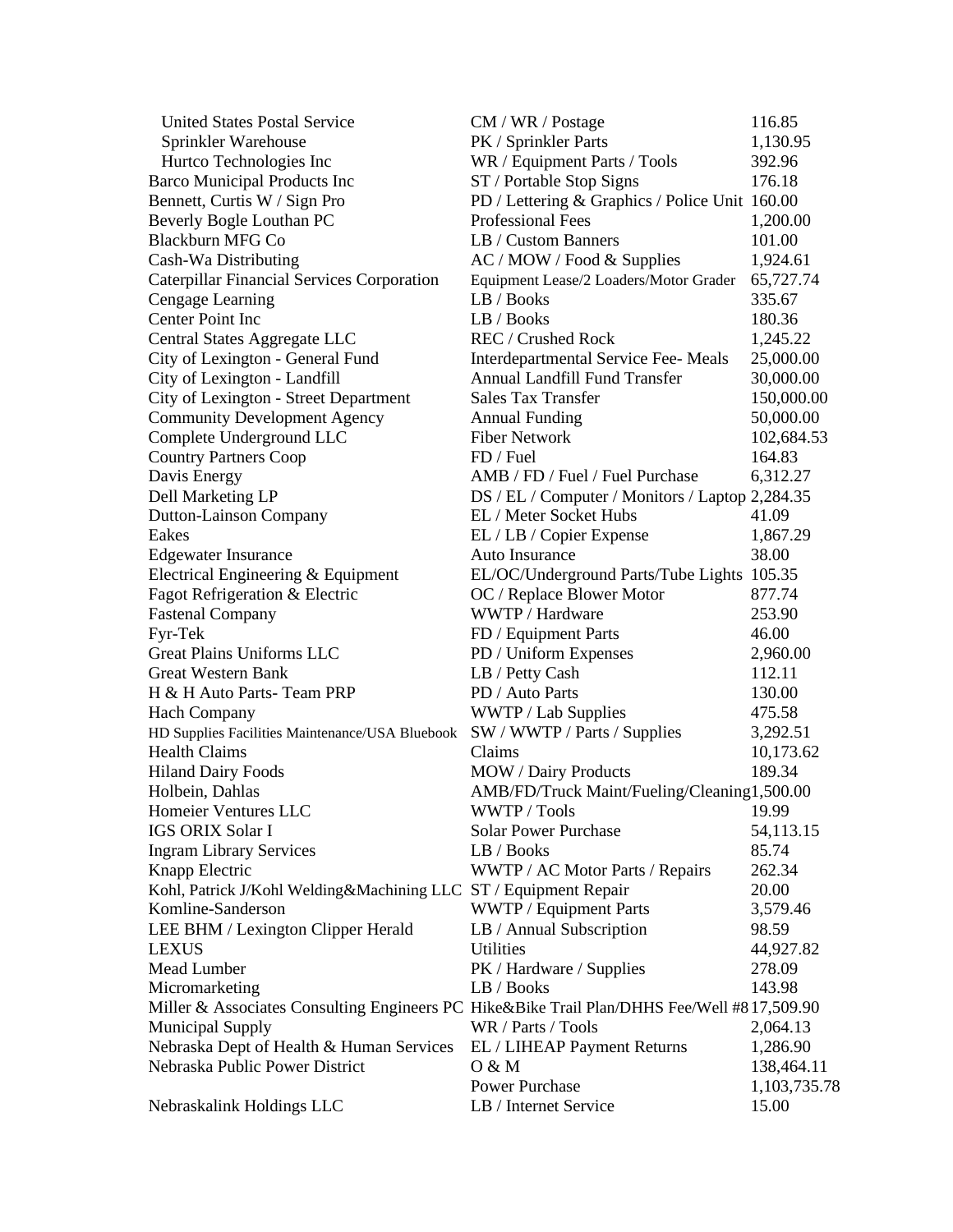| <b>United States Postal Service</b>                                                         | CM / WR / Postage                               | 116.85       |
|---------------------------------------------------------------------------------------------|-------------------------------------------------|--------------|
| Sprinkler Warehouse                                                                         | PK / Sprinkler Parts                            | 1,130.95     |
| Hurtco Technologies Inc                                                                     | WR / Equipment Parts / Tools                    | 392.96       |
| <b>Barco Municipal Products Inc</b>                                                         | ST / Portable Stop Signs                        | 176.18       |
| Bennett, Curtis W / Sign Pro                                                                | PD / Lettering & Graphics / Police Unit 160.00  |              |
| Beverly Bogle Louthan PC                                                                    | <b>Professional Fees</b>                        | 1,200.00     |
| <b>Blackburn MFG Co</b>                                                                     | LB / Custom Banners                             | 101.00       |
| Cash-Wa Distributing                                                                        | AC / MOW / Food & Supplies                      | 1,924.61     |
| <b>Caterpillar Financial Services Corporation</b>                                           | Equipment Lease/2 Loaders/Motor Grader          | 65,727.74    |
| Cengage Learning                                                                            | LB/Books                                        | 335.67       |
| Center Point Inc                                                                            | LB / Books                                      | 180.36       |
| Central States Aggregate LLC                                                                | REC / Crushed Rock                              | 1,245.22     |
| City of Lexington - General Fund                                                            | Interdepartmental Service Fee-Meals             | 25,000.00    |
| City of Lexington - Landfill                                                                | <b>Annual Landfill Fund Transfer</b>            | 30,000.00    |
|                                                                                             | <b>Sales Tax Transfer</b>                       |              |
| City of Lexington - Street Department                                                       |                                                 | 150,000.00   |
| <b>Community Development Agency</b>                                                         | <b>Annual Funding</b><br><b>Fiber Network</b>   | 50,000.00    |
| Complete Underground LLC                                                                    |                                                 | 102,684.53   |
| <b>Country Partners Coop</b>                                                                | FD / Fuel                                       | 164.83       |
| Davis Energy                                                                                | AMB / FD / Fuel / Fuel Purchase                 | 6,312.27     |
| Dell Marketing LP                                                                           | DS / EL / Computer / Monitors / Laptop 2,284.35 |              |
| Dutton-Lainson Company                                                                      | EL / Meter Socket Hubs                          | 41.09        |
| Eakes                                                                                       | EL / LB / Copier Expense                        | 1,867.29     |
| <b>Edgewater Insurance</b>                                                                  | Auto Insurance                                  | 38.00        |
| Electrical Engineering & Equipment                                                          | EL/OC/Underground Parts/Tube Lights 105.35      |              |
| Fagot Refrigeration & Electric                                                              | OC / Replace Blower Motor                       | 877.74       |
| <b>Fastenal Company</b>                                                                     | WWTP / Hardware                                 | 253.90       |
| Fyr-Tek                                                                                     | FD / Equipment Parts                            | 46.00        |
| Great Plains Uniforms LLC                                                                   | PD / Uniform Expenses                           | 2,960.00     |
| <b>Great Western Bank</b>                                                                   | LB / Petty Cash                                 | 112.11       |
| H & H Auto Parts-Team PRP                                                                   | PD / Auto Parts                                 | 130.00       |
| <b>Hach Company</b>                                                                         | WWTP / Lab Supplies                             | 475.58       |
| HD Supplies Facilities Maintenance/USA Bluebook                                             | SW / WWTP / Parts / Supplies                    | 3,292.51     |
| <b>Health Claims</b>                                                                        | Claims                                          | 10,173.62    |
| <b>Hiland Dairy Foods</b>                                                                   | MOW / Dairy Products                            | 189.34       |
| Holbein, Dahlas                                                                             | AMB/FD/Truck Maint/Fueling/Cleaning1,500.00     |              |
| Homeier Ventures LLC                                                                        | $WWTP / Tools$ 19.99                            |              |
| <b>IGS ORIX Solar I</b>                                                                     | <b>Solar Power Purchase</b>                     | 54,113.15    |
| <b>Ingram Library Services</b>                                                              | LB / Books                                      | 85.74        |
| Knapp Electric                                                                              | WWTP / AC Motor Parts / Repairs                 | 262.34       |
| Kohl, Patrick J/Kohl Welding&Machining LLC ST / Equipment Repair                            |                                                 | 20.00        |
| Komline-Sanderson                                                                           | WWTP / Equipment Parts                          | 3,579.46     |
| LEE BHM / Lexington Clipper Herald                                                          | LB / Annual Subscription                        | 98.59        |
| <b>LEXUS</b>                                                                                | <b>Utilities</b>                                | 44,927.82    |
| Mead Lumber                                                                                 | PK / Hardware / Supplies                        | 278.09       |
| Micromarketing                                                                              | LB / Books                                      | 143.98       |
| Miller & Associates Consulting Engineers PC Hike&Bike Trail Plan/DHHS Fee/Well #8 17,509.90 |                                                 |              |
| <b>Municipal Supply</b>                                                                     | WR / Parts / Tools                              | 2,064.13     |
| Nebraska Dept of Health & Human Services                                                    | EL / LIHEAP Payment Returns                     | 1,286.90     |
| Nebraska Public Power District                                                              | 0 & M                                           | 138,464.11   |
|                                                                                             | <b>Power Purchase</b>                           |              |
|                                                                                             |                                                 | 1,103,735.78 |
| Nebraskalink Holdings LLC                                                                   | LB / Internet Service                           | 15.00        |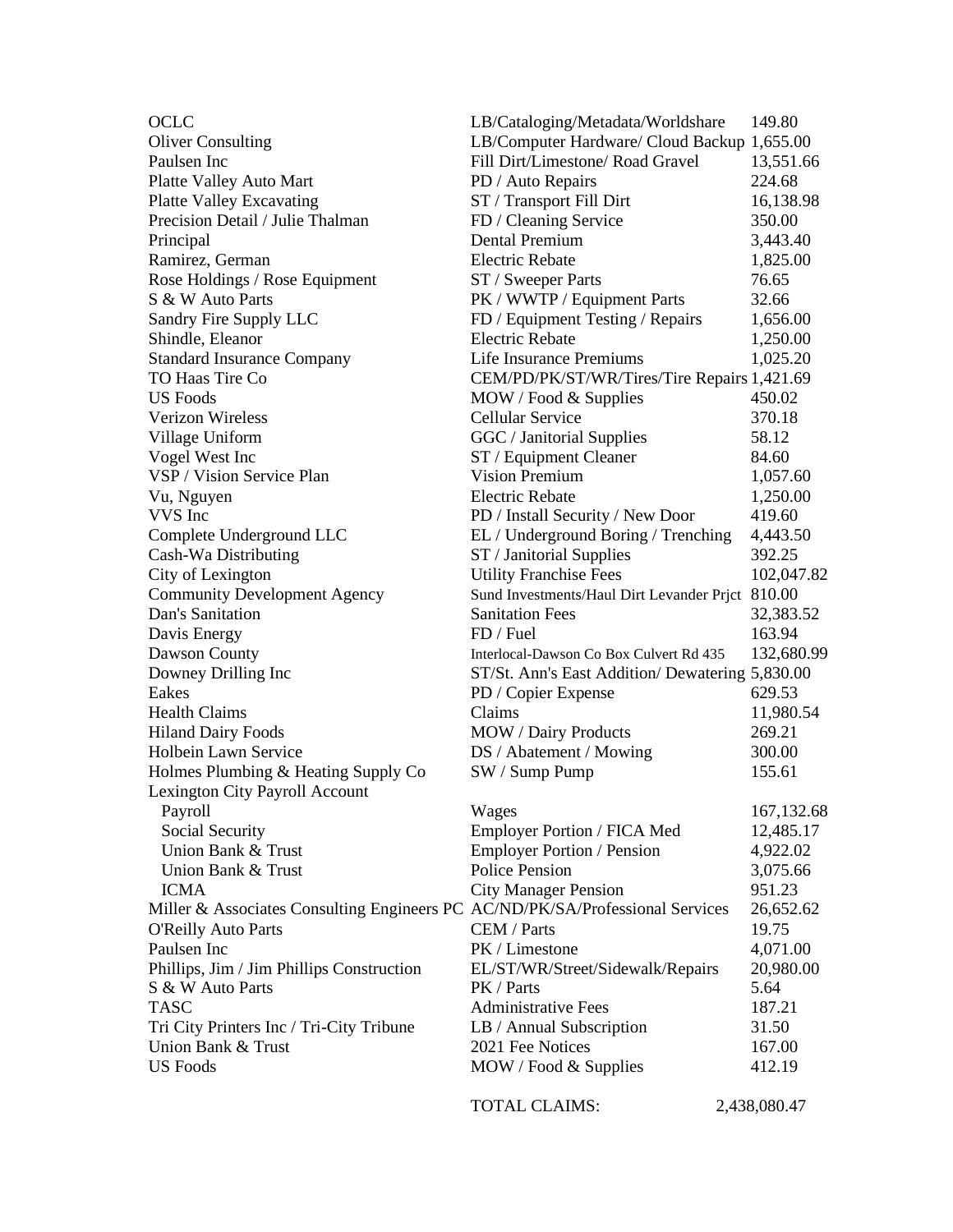| <b>OCLC</b>                                                                   | LB/Cataloging/Metadata/Worldshare                | 149.80       |
|-------------------------------------------------------------------------------|--------------------------------------------------|--------------|
| <b>Oliver Consulting</b>                                                      | LB/Computer Hardware/ Cloud Backup 1,655.00      |              |
| Paulsen Inc                                                                   | Fill Dirt/Limestone/ Road Gravel                 | 13,551.66    |
| Platte Valley Auto Mart                                                       | PD / Auto Repairs                                | 224.68       |
| <b>Platte Valley Excavating</b>                                               | ST / Transport Fill Dirt                         | 16,138.98    |
| Precision Detail / Julie Thalman                                              | FD / Cleaning Service                            | 350.00       |
| Principal                                                                     | Dental Premium                                   | 3,443.40     |
| Ramirez, German                                                               | <b>Electric Rebate</b>                           | 1,825.00     |
| Rose Holdings / Rose Equipment                                                | ST / Sweeper Parts                               | 76.65        |
| S & W Auto Parts                                                              | PK / WWTP / Equipment Parts                      | 32.66        |
| Sandry Fire Supply LLC                                                        | FD / Equipment Testing / Repairs                 | 1,656.00     |
| Shindle, Eleanor                                                              | <b>Electric Rebate</b>                           | 1,250.00     |
| <b>Standard Insurance Company</b>                                             | Life Insurance Premiums                          | 1,025.20     |
| TO Haas Tire Co                                                               | CEM/PD/PK/ST/WR/Tires/Tire Repairs 1,421.69      |              |
| <b>US</b> Foods                                                               | MOW / Food & Supplies                            | 450.02       |
| <b>Verizon Wireless</b>                                                       | <b>Cellular Service</b>                          | 370.18       |
| Village Uniform                                                               | GGC / Janitorial Supplies                        | 58.12        |
| Vogel West Inc                                                                |                                                  | 84.60        |
| VSP / Vision Service Plan                                                     | ST / Equipment Cleaner<br><b>Vision Premium</b>  |              |
|                                                                               | <b>Electric Rebate</b>                           | 1,057.60     |
| Vu, Nguyen<br>VVS Inc                                                         |                                                  | 1,250.00     |
|                                                                               | PD / Install Security / New Door                 | 419.60       |
| Complete Underground LLC                                                      | EL / Underground Boring / Trenching              | 4,443.50     |
| Cash-Wa Distributing                                                          | ST / Janitorial Supplies                         | 392.25       |
| City of Lexington                                                             | <b>Utility Franchise Fees</b>                    | 102,047.82   |
| <b>Community Development Agency</b>                                           | Sund Investments/Haul Dirt Levander Prjct 810.00 |              |
| Dan's Sanitation                                                              | <b>Sanitation Fees</b>                           | 32,383.52    |
| Davis Energy                                                                  | FD / Fuel                                        | 163.94       |
| Dawson County                                                                 | Interlocal-Dawson Co Box Culvert Rd 435          | 132,680.99   |
| Downey Drilling Inc                                                           | ST/St. Ann's East Addition/ Dewatering 5,830.00  |              |
| Eakes                                                                         | PD / Copier Expense                              | 629.53       |
| <b>Health Claims</b>                                                          | Claims                                           | 11,980.54    |
| <b>Hiland Dairy Foods</b>                                                     | <b>MOW</b> / Dairy Products                      | 269.21       |
| Holbein Lawn Service                                                          | DS / Abatement / Mowing                          | 300.00       |
| Holmes Plumbing & Heating Supply Co                                           | SW / Sump Pump                                   | 155.61       |
| Lexington City Payroll Account                                                |                                                  |              |
| Payroll                                                                       | Wages                                            | 167,132.68   |
| Social Security                                                               | Employer Portion / FICA Med                      | 12,485.17    |
| Union Bank & Trust                                                            | <b>Employer Portion / Pension</b>                | 4,922.02     |
| Union Bank & Trust                                                            | <b>Police Pension</b>                            | 3,075.66     |
| <b>ICMA</b>                                                                   | <b>City Manager Pension</b>                      | 951.23       |
| Miller & Associates Consulting Engineers PC AC/ND/PK/SA/Professional Services |                                                  | 26,652.62    |
| <b>O'Reilly Auto Parts</b>                                                    | CEM / Parts                                      | 19.75        |
| Paulsen Inc                                                                   | PK / Limestone                                   | 4,071.00     |
| Phillips, Jim / Jim Phillips Construction                                     | EL/ST/WR/Street/Sidewalk/Repairs                 | 20,980.00    |
| S & W Auto Parts                                                              | PK / Parts                                       | 5.64         |
| <b>TASC</b>                                                                   | <b>Administrative Fees</b>                       | 187.21       |
| Tri City Printers Inc / Tri-City Tribune                                      | LB / Annual Subscription                         | 31.50        |
| Union Bank & Trust                                                            | 2021 Fee Notices                                 | 167.00       |
| <b>US</b> Foods                                                               | MOW / Food & Supplies                            | 412.19       |
|                                                                               |                                                  |              |
|                                                                               | TOTAL CLAIMS:                                    | 2,438,080.47 |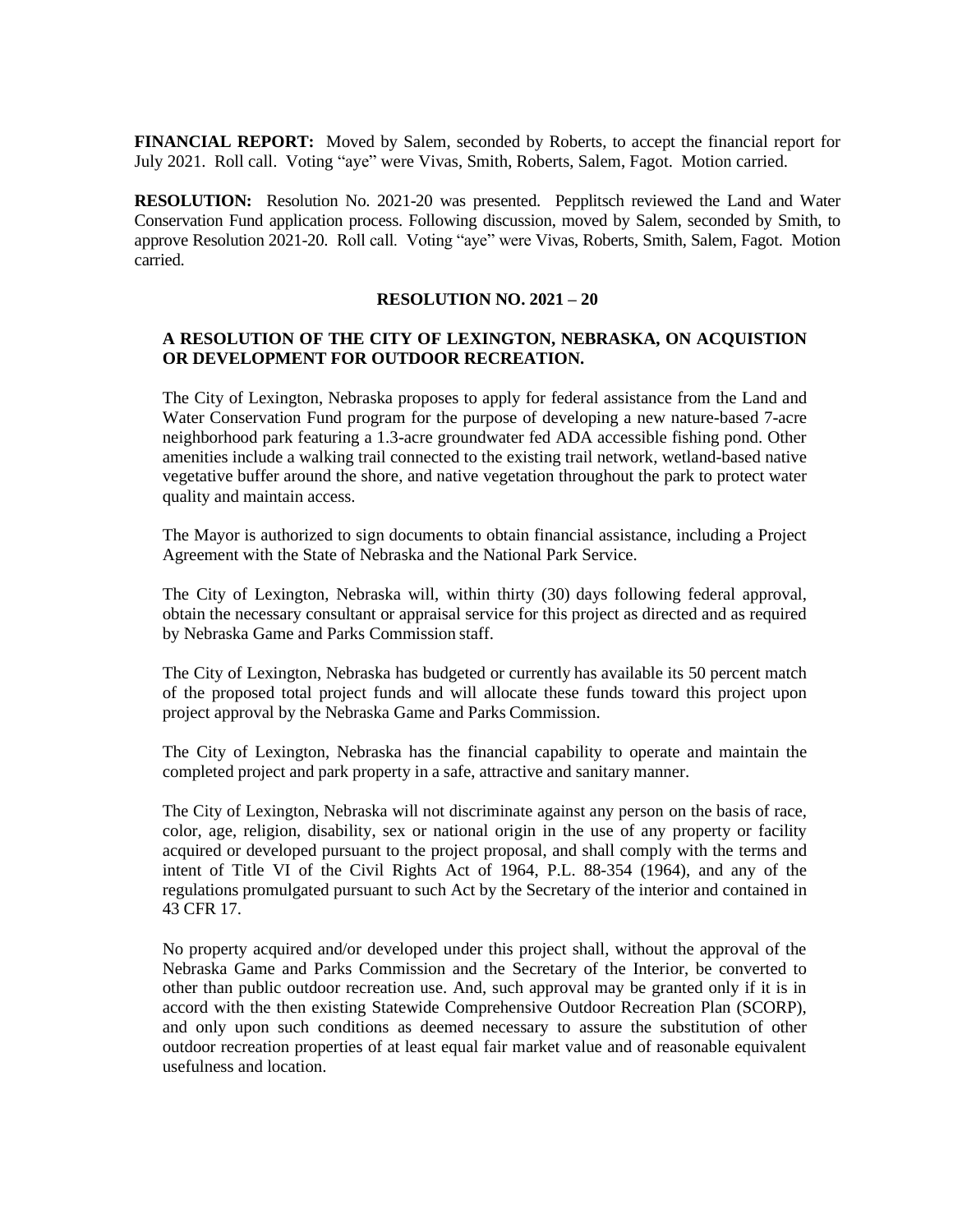**FINANCIAL REPORT:** Moved by Salem, seconded by Roberts, to accept the financial report for July 2021. Roll call. Voting "aye" were Vivas, Smith, Roberts, Salem, Fagot. Motion carried.

**RESOLUTION:** Resolution No. 2021-20 was presented. Pepplitsch reviewed the Land and Water Conservation Fund application process. Following discussion, moved by Salem, seconded by Smith, to approve Resolution 2021-20. Roll call. Voting "aye" were Vivas, Roberts, Smith, Salem, Fagot. Motion carried.

## **RESOLUTION NO. 2021 – 20**

## **A RESOLUTION OF THE CITY OF LEXINGTON, NEBRASKA, ON ACQUISTION OR DEVELOPMENT FOR OUTDOOR RECREATION.**

The City of Lexington, Nebraska proposes to apply for federal assistance from the Land and Water Conservation Fund program for the purpose of developing a new nature-based 7-acre neighborhood park featuring a 1.3-acre groundwater fed ADA accessible fishing pond. Other amenities include a walking trail connected to the existing trail network, wetland-based native vegetative buffer around the shore, and native vegetation throughout the park to protect water quality and maintain access.

The Mayor is authorized to sign documents to obtain financial assistance, including a Project Agreement with the State of Nebraska and the National Park Service.

The City of Lexington, Nebraska will, within thirty (30) days following federal approval, obtain the necessary consultant or appraisal service for this project as directed and as required by Nebraska Game and Parks Commission staff.

The City of Lexington, Nebraska has budgeted or currently has available its 50 percent match of the proposed total project funds and will allocate these funds toward this project upon project approval by the Nebraska Game and Parks Commission.

The City of Lexington, Nebraska has the financial capability to operate and maintain the completed project and park property in a safe, attractive and sanitary manner.

The City of Lexington, Nebraska will not discriminate against any person on the basis of race, color, age, religion, disability, sex or national origin in the use of any property or facility acquired or developed pursuant to the project proposal, and shall comply with the terms and intent of Title VI of the Civil Rights Act of 1964, P.L. 88-354 (1964), and any of the regulations promulgated pursuant to such Act by the Secretary of the interior and contained in 43 CFR 17.

No property acquired and/or developed under this project shall, without the approval of the Nebraska Game and Parks Commission and the Secretary of the Interior, be converted to other than public outdoor recreation use. And, such approval may be granted only if it is in accord with the then existing Statewide Comprehensive Outdoor Recreation Plan (SCORP), and only upon such conditions as deemed necessary to assure the substitution of other outdoor recreation properties of at least equal fair market value and of reasonable equivalent usefulness and location.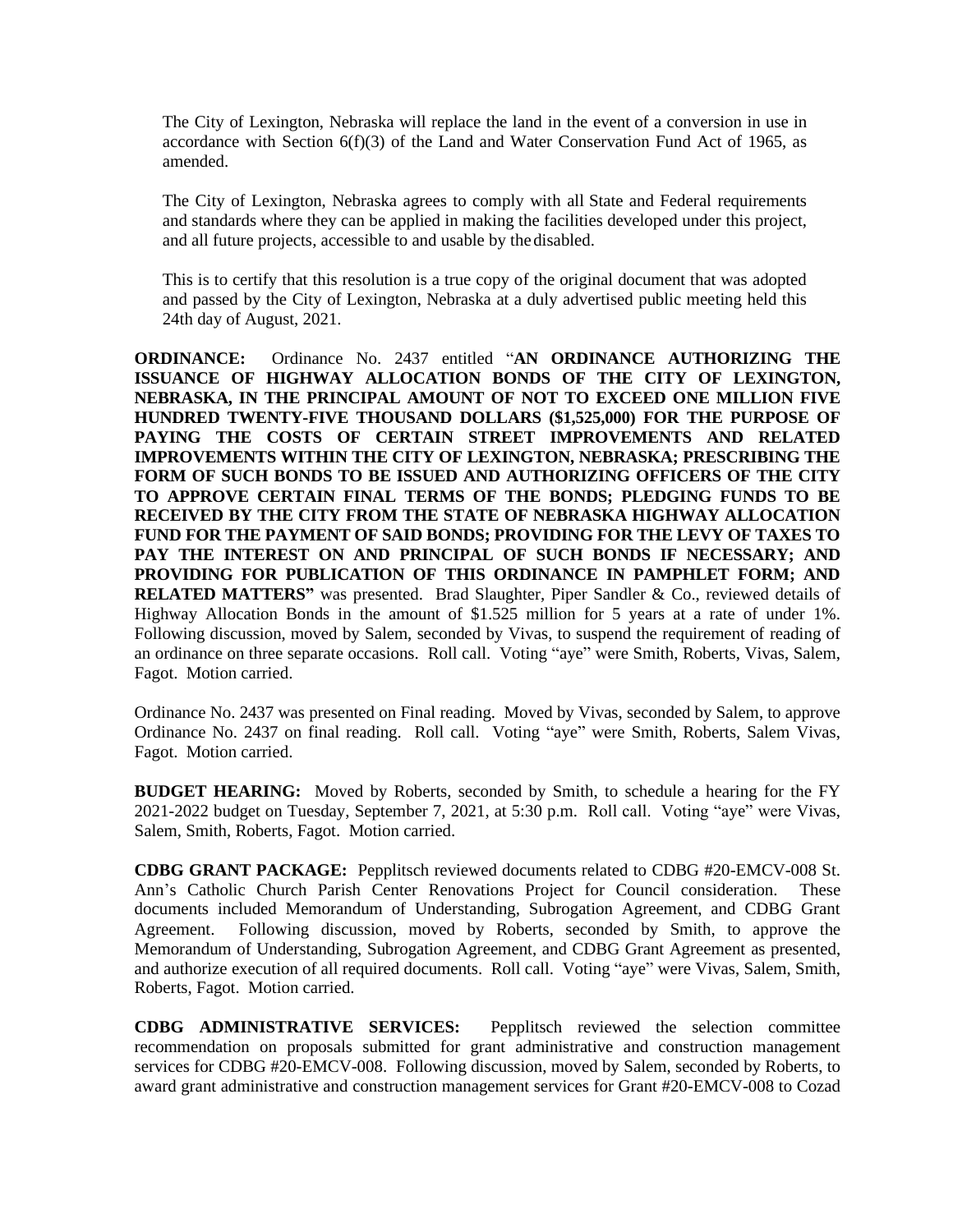The City of Lexington, Nebraska will replace the land in the event of a conversion in use in accordance with Section 6(f)(3) of the Land and Water Conservation Fund Act of 1965, as amended.

The City of Lexington, Nebraska agrees to comply with all State and Federal requirements and standards where they can be applied in making the facilities developed under this project, and all future projects, accessible to and usable by the disabled.

This is to certify that this resolution is a true copy of the original document that was adopted and passed by the City of Lexington, Nebraska at a duly advertised public meeting held this 24th day of August, 2021.

**ORDINANCE:** Ordinance No. 2437 entitled "**AN ORDINANCE AUTHORIZING THE ISSUANCE OF HIGHWAY ALLOCATION BONDS OF THE CITY OF LEXINGTON, NEBRASKA, IN THE PRINCIPAL AMOUNT OF NOT TO EXCEED ONE MILLION FIVE HUNDRED TWENTY-FIVE THOUSAND DOLLARS (\$1,525,000) FOR THE PURPOSE OF PAYING THE COSTS OF CERTAIN STREET IMPROVEMENTS AND RELATED IMPROVEMENTS WITHIN THE CITY OF LEXINGTON, NEBRASKA; PRESCRIBING THE FORM OF SUCH BONDS TO BE ISSUED AND AUTHORIZING OFFICERS OF THE CITY TO APPROVE CERTAIN FINAL TERMS OF THE BONDS; PLEDGING FUNDS TO BE RECEIVED BY THE CITY FROM THE STATE OF NEBRASKA HIGHWAY ALLOCATION FUND FOR THE PAYMENT OF SAID BONDS; PROVIDING FOR THE LEVY OF TAXES TO PAY THE INTEREST ON AND PRINCIPAL OF SUCH BONDS IF NECESSARY; AND PROVIDING FOR PUBLICATION OF THIS ORDINANCE IN PAMPHLET FORM; AND RELATED MATTERS"** was presented. Brad Slaughter, Piper Sandler & Co., reviewed details of Highway Allocation Bonds in the amount of \$1.525 million for 5 years at a rate of under 1%. Following discussion, moved by Salem, seconded by Vivas, to suspend the requirement of reading of an ordinance on three separate occasions. Roll call. Voting "aye" were Smith, Roberts, Vivas, Salem, Fagot. Motion carried.

Ordinance No. 2437 was presented on Final reading. Moved by Vivas, seconded by Salem, to approve Ordinance No. 2437 on final reading. Roll call. Voting "aye" were Smith, Roberts, Salem Vivas, Fagot. Motion carried.

**BUDGET HEARING:** Moved by Roberts, seconded by Smith, to schedule a hearing for the FY 2021-2022 budget on Tuesday, September 7, 2021, at 5:30 p.m. Roll call. Voting "aye" were Vivas, Salem, Smith, Roberts, Fagot. Motion carried.

**CDBG GRANT PACKAGE:** Pepplitsch reviewed documents related to CDBG #20-EMCV-008 St. Ann's Catholic Church Parish Center Renovations Project for Council consideration. These documents included Memorandum of Understanding, Subrogation Agreement, and CDBG Grant Agreement. Following discussion, moved by Roberts, seconded by Smith, to approve the Memorandum of Understanding, Subrogation Agreement, and CDBG Grant Agreement as presented, and authorize execution of all required documents. Roll call. Voting "aye" were Vivas, Salem, Smith, Roberts, Fagot. Motion carried.

**CDBG ADMINISTRATIVE SERVICES:** Pepplitsch reviewed the selection committee recommendation on proposals submitted for grant administrative and construction management services for CDBG #20-EMCV-008. Following discussion, moved by Salem, seconded by Roberts, to award grant administrative and construction management services for Grant #20-EMCV-008 to Cozad